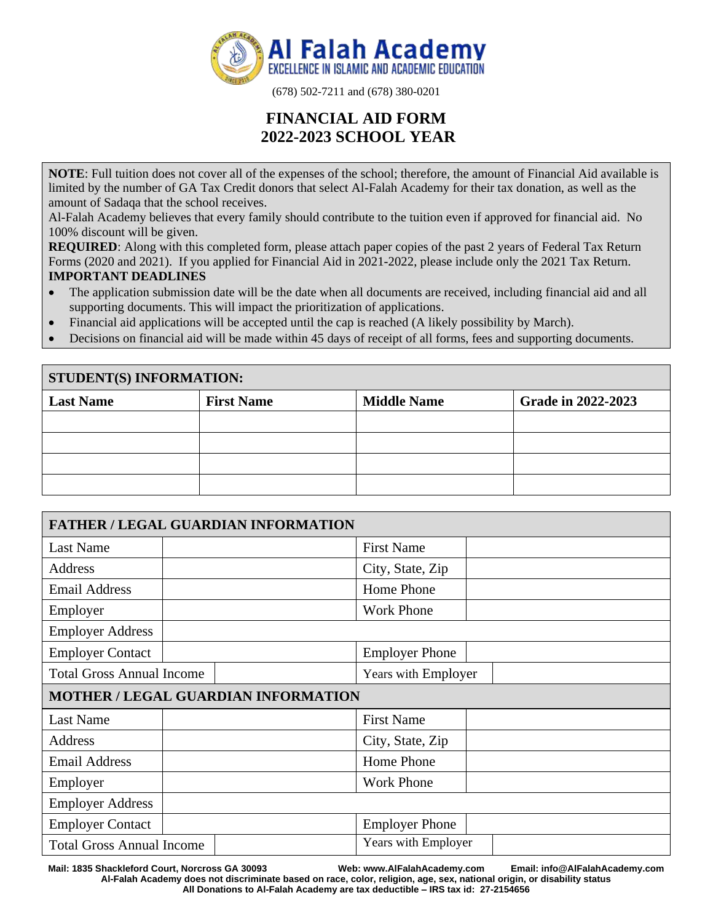

(678) 502-7211 and (678) 380-0201

# **FINANCIAL AID FORM 2022-2023 SCHOOL YEAR**

**NOTE**: Full tuition does not cover all of the expenses of the school; therefore, the amount of Financial Aid available is limited by the number of GA Tax Credit donors that select Al-Falah Academy for their tax donation, as well as the amount of Sadaqa that the school receives.

Al-Falah Academy believes that every family should contribute to the tuition even if approved for financial aid. No 100% discount will be given.

**REQUIRED:** Along with this completed form, please attach paper copies of the past 2 years of Federal Tax Return Forms (2020 and 2021). If you applied for Financial Aid in 2021-2022, please include only the 2021 Tax Return. **IMPORTANT DEADLINES** 

- The application submission date will be the date when all documents are received, including financial aid and all supporting documents. This will impact the prioritization of applications.
- Financial aid applications will be accepted until the cap is reached (A likely possibility by March).
- Decisions on financial aid will be made within 45 days of receipt of all forms, fees and supporting documents.

| <b>STUDENT(S) INFORMATION:</b> |                   |                    |                    |
|--------------------------------|-------------------|--------------------|--------------------|
| <b>Last Name</b>               | <b>First Name</b> | <b>Middle Name</b> | Grade in 2022-2023 |
|                                |                   |                    |                    |
|                                |                   |                    |                    |
|                                |                   |                    |                    |
|                                |                   |                    |                    |

| <b>FATHER / LEGAL GUARDIAN INFORMATION</b> |                       |  |
|--------------------------------------------|-----------------------|--|
| <b>Last Name</b>                           | <b>First Name</b>     |  |
| <b>Address</b>                             | City, State, Zip      |  |
| <b>Email Address</b>                       | Home Phone            |  |
| Employer                                   | <b>Work Phone</b>     |  |
| <b>Employer Address</b>                    |                       |  |
| <b>Employer Contact</b>                    | <b>Employer Phone</b> |  |
| <b>Total Gross Annual Income</b>           | Years with Employer   |  |
| <b>MOTHER / LEGAL GUARDIAN INFORMATION</b> |                       |  |
| <b>Last Name</b>                           | <b>First Name</b>     |  |
| <b>Address</b>                             | City, State, Zip      |  |
| <b>Email Address</b>                       | Home Phone            |  |
| Employer                                   | <b>Work Phone</b>     |  |
| <b>Employer Address</b>                    |                       |  |
| <b>Employer Contact</b>                    | <b>Employer Phone</b> |  |
| <b>Total Gross Annual Income</b>           | Years with Employer   |  |

**Mail: 1835 Shackleford Court, Norcross GA 30093 Web: www.AlFalahAcademy.com Email: info@AlFalahAcademy.com Al-Falah Academy does not discriminate based on race, color, religion, age, sex, national origin, or disability status All Donations to Al-Falah Academy are tax deductible – IRS tax id: 27-2154656**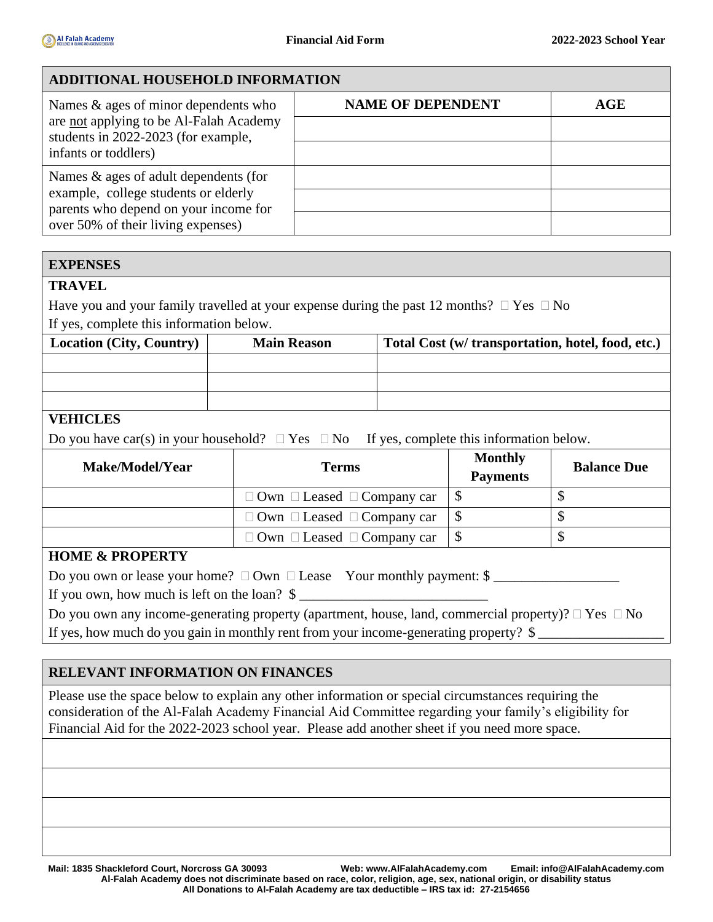### **ADDITIONAL HOUSEHOLD INFORMATION**

| Names $\&$ ages of minor dependents who                                        | <b>NAME OF DEPENDENT</b> | AGE |
|--------------------------------------------------------------------------------|--------------------------|-----|
| are not applying to be Al-Falah Academy<br>students in 2022-2023 (for example, |                          |     |
| infants or toddlers)                                                           |                          |     |
| Names & ages of adult dependents (for                                          |                          |     |
| example, college students or elderly<br>parents who depend on your income for  |                          |     |
| over 50% of their living expenses)                                             |                          |     |

#### **EXPENSES**

#### **TRAVEL**

Have you and your family travelled at your expense during the past 12 months?  $\Box$  Yes  $\Box$  No If yes, complete this information below.

| <b>Location (City, Country)</b> | <b>Main Reason</b> | Total Cost (w/ transportation, hotel, food, etc.) |
|---------------------------------|--------------------|---------------------------------------------------|
|                                 |                    |                                                   |
|                                 |                    |                                                   |
|                                 |                    |                                                   |

## **VEHICLES**

| Do you have car(s) in your household? $\Box$ Yes $\Box$ No If yes, complete this information below. |  |  |  |
|-----------------------------------------------------------------------------------------------------|--|--|--|
|                                                                                                     |  |  |  |

| <b>Make/Model/Year</b> | <b>Terms</b>                                | <b>Monthly</b><br><b>Payments</b> | <b>Balance Due</b> |
|------------------------|---------------------------------------------|-----------------------------------|--------------------|
|                        | $\Box$ Own $\Box$ Leased $\Box$ Company car |                                   |                    |
|                        | $\Box$ Own $\Box$ Leased $\Box$ Company car |                                   |                    |
|                        | $\Box$ Own $\Box$ Leased $\Box$ Company car |                                   |                    |

### **HOME & PROPERTY**

Do you own or lease your home?  $\Box$  Own  $\Box$  Lease Your monthly payment:  $\$\underline{\hspace{1cm}}$ 

If you own, how much is left on the loan?  $\frac{1}{2}$ 

| Do you own any income-generating property (apartment, house, land, commercial property)? $\Box$ Yes $\Box$ No |  |
|---------------------------------------------------------------------------------------------------------------|--|
| If yes, how much do you gain in monthly rent from your income-generating property? \$                         |  |

### **RELEVANT INFORMATION ON FINANCES**

Please use the space below to explain any other information or special circumstances requiring the consideration of the Al-Falah Academy Financial Aid Committee regarding your family's eligibility for Financial Aid for the 2022-2023 school year. Please add another sheet if you need more space.